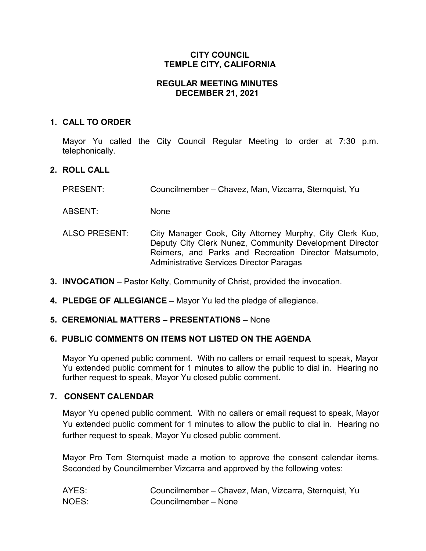# **CITY COUNCIL TEMPLE CITY, CALIFORNIA**

## **REGULAR MEETING MINUTES DECEMBER 21, 2021**

## **1. CALL TO ORDER**

Mayor Yu called the City Council Regular Meeting to order at 7:30 p.m. telephonically.

# **2. ROLL CALL**

- PRESENT: Councilmember Chavez, Man, Vizcarra, Sternquist, Yu
- ABSENT: None
- ALSO PRESENT: City Manager Cook, City Attorney Murphy, City Clerk Kuo, Deputy City Clerk Nunez, Community Development Director Reimers, and Parks and Recreation Director Matsumoto, Administrative Services Director Paragas
- **3. INVOCATION –** Pastor Kelty, Community of Christ, provided the invocation.
- **4. PLEDGE OF ALLEGIANCE –** Mayor Yu led the pledge of allegiance.
- **5. CEREMONIAL MATTERS – PRESENTATIONS** None

# **6. PUBLIC COMMENTS ON ITEMS NOT LISTED ON THE AGENDA**

Mayor Yu opened public comment. With no callers or email request to speak, Mayor Yu extended public comment for 1 minutes to allow the public to dial in. Hearing no further request to speak, Mayor Yu closed public comment.

## **7. CONSENT CALENDAR**

Mayor Yu opened public comment. With no callers or email request to speak, Mayor Yu extended public comment for 1 minutes to allow the public to dial in. Hearing no further request to speak, Mayor Yu closed public comment.

Mayor Pro Tem Sternquist made a motion to approve the consent calendar items. Seconded by Councilmember Vizcarra and approved by the following votes:

| AYES:        | Councilmember - Chavez, Man, Vizcarra, Sternquist, Yu |
|--------------|-------------------------------------------------------|
| <b>NOES:</b> | Councilmember - None                                  |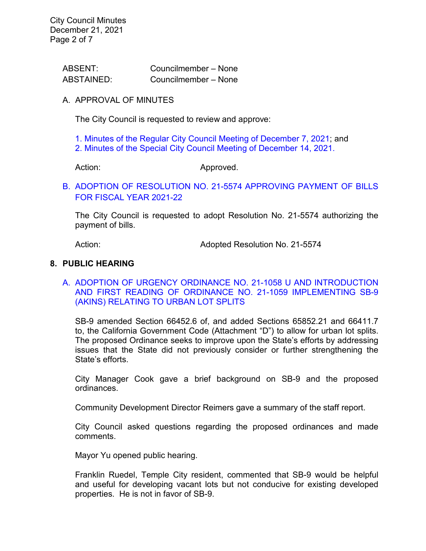City Council Minutes December 21, 2021 Page 2 of 7

| ABSENT:    | Councilmember - None |
|------------|----------------------|
| ABSTAINED: | Councilmember - None |

### A. APPROVAL OF MINUTES

The City Council is requested to review and approve:

[1. Minutes of the Regular City Council Meeting of December 7,](https://www.ci.temple-city.ca.us/DocumentCenter/View/17120/7A1_CCM---2021-12-07) 2021; and [2. Minutes of the Special City Council Meeting of December 14, 2021.](https://www.ci.temple-city.ca.us/DocumentCenter/View/17121/7A2_CCM---2021-12-14-Special)

Action: Approved.

## B. [ADOPTION OF RESOLUTION NO. 21-5574](https://www.ci.temple-city.ca.us/DocumentCenter/View/17122/7B_CC-Warrant_Reso-No-21-5574---FY-2021-2022) APPROVING PAYMENT OF BILLS [FOR FISCAL YEAR 2021-22](https://www.ci.temple-city.ca.us/DocumentCenter/View/17122/7B_CC-Warrant_Reso-No-21-5574---FY-2021-2022)

The City Council is requested to adopt Resolution No. 21-5574 authorizing the payment of bills.

Action: Mathematic Contract Adopted Resolution No. 21-5574

#### **8. PUBLIC HEARING**

### A. [ADOPTION OF URGENCY ORDINANCE NO. 21-1058 U AND](https://www.ci.temple-city.ca.us/DocumentCenter/View/17123/8A_SB9_Staff-Report-w-attachments) INTRODUCTION [AND FIRST READING OF ORDINANCE NO. 21-1059 IMPLEMENTING SB-9](https://www.ci.temple-city.ca.us/DocumentCenter/View/17123/8A_SB9_Staff-Report-w-attachments)  [\(AKINS\) RELATING TO URBAN LOT SPLITS](https://www.ci.temple-city.ca.us/DocumentCenter/View/17123/8A_SB9_Staff-Report-w-attachments)

SB-9 amended Section 66452.6 of, and added Sections 65852.21 and 66411.7 to, the California Government Code (Attachment "D") to allow for urban lot splits. The proposed Ordinance seeks to improve upon the State's efforts by addressing issues that the State did not previously consider or further strengthening the State's efforts.

City Manager Cook gave a brief background on SB-9 and the proposed ordinances.

Community Development Director Reimers gave a summary of the staff report.

City Council asked questions regarding the proposed ordinances and made comments.

Mayor Yu opened public hearing.

Franklin Ruedel, Temple City resident, commented that SB-9 would be helpful and useful for developing vacant lots but not conducive for existing developed properties. He is not in favor of SB-9.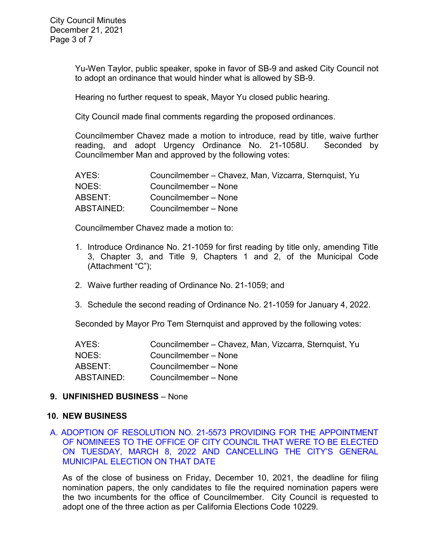Yu-Wen Taylor, public speaker, spoke in favor of SB-9 and asked City Council not to adopt an ordinance that would hinder what is allowed by SB-9.

Hearing no further request to speak, Mayor Yu closed public hearing.

City Council made final comments regarding the proposed ordinances.

Councilmember Chavez made a motion to introduce, read by title, waive further reading, and adopt Urgency Ordinance No. 21-1058U. Seconded by Councilmember Man and approved by the following votes:

| AYES:      | Councilmember – Chavez, Man, Vizcarra, Sternquist, Yu |
|------------|-------------------------------------------------------|
| NOES:      | Councilmember - None                                  |
| ABSENT:    | Councilmember – None                                  |
| ABSTAINED: | Councilmember - None                                  |

Councilmember Chavez made a motion to:

- 1. Introduce Ordinance No. 21-1059 for first reading by title only, amending Title 3, Chapter 3, and Title 9, Chapters 1 and 2, of the Municipal Code (Attachment "C");
- 2. Waive further reading of Ordinance No. 21-1059; and
- 3. Schedule the second reading of Ordinance No. 21-1059 for January 4, 2022.

Seconded by Mayor Pro Tem Sternquist and approved by the following votes:

| AYES:      | Councilmember – Chavez, Man, Vizcarra, Sternquist, Yu |
|------------|-------------------------------------------------------|
| NOES:      | Councilmember – None                                  |
| ABSENT:    | Councilmember - None                                  |
| ABSTAINED: | Councilmember – None                                  |

#### **9. UNFINISHED BUSINESS** – None

#### **10. NEW BUSINESS**

A. [ADOPTION OF RESOLUTION NO. 21-5573 PROVIDING FOR THE APPOINTMENT](https://www.ci.temple-city.ca.us/DocumentCenter/View/17124/10A_2022-Election-appointment-and-cancellation_Staff-Report-w-attachment)  [OF NOMINEES TO THE OFFICE OF CITY COUNCIL THAT WERE TO BE ELECTED](https://www.ci.temple-city.ca.us/DocumentCenter/View/17124/10A_2022-Election-appointment-and-cancellation_Staff-Report-w-attachment)  [ON TUESDAY, MARCH 8, 2022 AND CANCELLING THE CITY'S GENERAL](https://www.ci.temple-city.ca.us/DocumentCenter/View/17124/10A_2022-Election-appointment-and-cancellation_Staff-Report-w-attachment)  [MUNICIPAL ELECTION ON THAT DATE](https://www.ci.temple-city.ca.us/DocumentCenter/View/17124/10A_2022-Election-appointment-and-cancellation_Staff-Report-w-attachment)

As of the close of business on Friday, December 10, 2021, the deadline for filing nomination papers, the only candidates to file the required nomination papers were the two incumbents for the office of Councilmember. City Council is requested to adopt one of the three action as per California Elections Code 10229.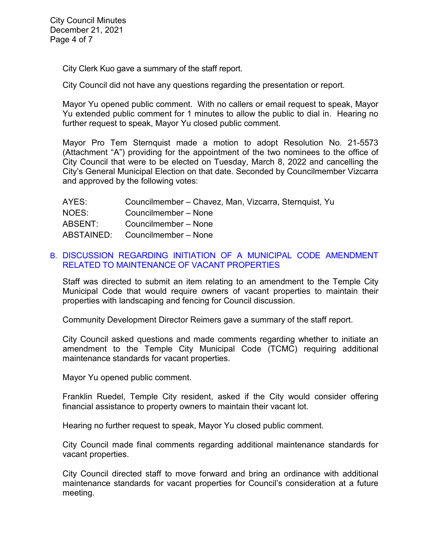City Clerk Kuo gave a summary of the staff report.

City Council did not have any questions regarding the presentation or report.

Mayor Yu opened public comment. With no callers or email request to speak, Mayor Yu extended public comment for 1 minutes to allow the public to dial in. Hearing no further request to speak, Mayor Yu closed public comment.

Mayor Pro Tem Sternquist made a motion to adopt Resolution No. 21-5573 (Attachment "A") providing for the appointment of the two nominees to the office of City Council that were to be elected on Tuesday, March 8, 2022 and cancelling the City's General Municipal Election on that date. Seconded by Councilmember Vizcarra and approved by the following votes:

| AYES:      | Councilmember - Chavez, Man, Vizcarra, Sternquist, Yu |
|------------|-------------------------------------------------------|
| NOES:      | Councilmember - None                                  |
| ABSENT:    | Councilmember – None                                  |
| ABSTAINED: | Councilmember - None                                  |

# B. [DISCUSSION REGARDING INITIATION OF A MUNICIPAL CODE AMENDMENT](https://www.ci.temple-city.ca.us/DocumentCenter/View/17125/10B_Vacant-Property-Ordinance_Staff-Report_Draft_2_2021-12-08)  [RELATED TO MAINTENANCE OF VACANT PROPERTIES](https://www.ci.temple-city.ca.us/DocumentCenter/View/17125/10B_Vacant-Property-Ordinance_Staff-Report_Draft_2_2021-12-08)

Staff was directed to submit an item relating to an amendment to the Temple City Municipal Code that would require owners of vacant properties to maintain their properties with landscaping and fencing for Council discussion.

Community Development Director Reimers gave a summary of the staff report.

City Council asked questions and made comments regarding whether to initiate an amendment to the Temple City Municipal Code (TCMC) requiring additional maintenance standards for vacant properties.

Mayor Yu opened public comment.

Franklin Ruedel, Temple City resident, asked if the City would consider offering financial assistance to property owners to maintain their vacant lot.

Hearing no further request to speak, Mayor Yu closed public comment.

City Council made final comments regarding additional maintenance standards for vacant properties.

City Council directed staff to move forward and bring an ordinance with additional maintenance standards for vacant properties for Council's consideration at a future meeting.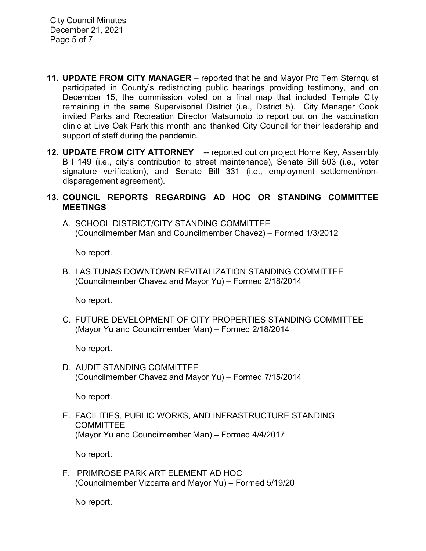- **11. UPDATE FROM CITY MANAGER**  reported that he and Mayor Pro Tem Sternquist participated in County's redistricting public hearings providing testimony, and on December 15, the commission voted on a final map that included Temple City remaining in the same Supervisorial District (i.e., District 5). City Manager Cook invited Parks and Recreation Director Matsumoto to report out on the vaccination clinic at Live Oak Park this month and thanked City Council for their leadership and support of staff during the pandemic.
- **12. UPDATE FROM CITY ATTORNEY** -- reported out on project Home Key, Assembly Bill 149 (i.e., city's contribution to street maintenance), Senate Bill 503 (i.e., voter signature verification), and Senate Bill 331 (i.e., employment settlement/nondisparagement agreement).

## **13. COUNCIL REPORTS REGARDING AD HOC OR STANDING COMMITTEE MEETINGS**

A. SCHOOL DISTRICT/CITY STANDING COMMITTEE (Councilmember Man and Councilmember Chavez) – Formed 1/3/2012

No report.

B. LAS TUNAS DOWNTOWN REVITALIZATION STANDING COMMITTEE (Councilmember Chavez and Mayor Yu) – Formed 2/18/2014

No report.

C. FUTURE DEVELOPMENT OF CITY PROPERTIES STANDING COMMITTEE (Mayor Yu and Councilmember Man) – Formed 2/18/2014

No report.

D. AUDIT STANDING COMMITTEE (Councilmember Chavez and Mayor Yu) – Formed 7/15/2014

No report.

E. FACILITIES, PUBLIC WORKS, AND INFRASTRUCTURE STANDING **COMMITTEE** (Mayor Yu and Councilmember Man) – Formed 4/4/2017

No report.

F. PRIMROSE PARK ART ELEMENT AD HOC (Councilmember Vizcarra and Mayor Yu) – Formed 5/19/20

No report.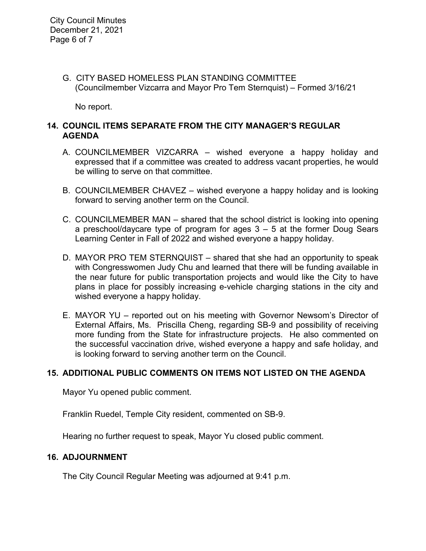G. CITY BASED HOMELESS PLAN STANDING COMMITTEE (Councilmember Vizcarra and Mayor Pro Tem Sternquist) – Formed 3/16/21

No report.

# **14. COUNCIL ITEMS SEPARATE FROM THE CITY MANAGER'S REGULAR AGENDA**

- A. COUNCILMEMBER VIZCARRA wished everyone a happy holiday and expressed that if a committee was created to address vacant properties, he would be willing to serve on that committee.
- B. COUNCILMEMBER CHAVEZ wished everyone a happy holiday and is looking forward to serving another term on the Council.
- C. COUNCILMEMBER MAN shared that the school district is looking into opening a preschool/daycare type of program for ages 3 – 5 at the former Doug Sears Learning Center in Fall of 2022 and wished everyone a happy holiday.
- D. MAYOR PRO TEM STERNQUIST shared that she had an opportunity to speak with Congresswomen Judy Chu and learned that there will be funding available in the near future for public transportation projects and would like the City to have plans in place for possibly increasing e-vehicle charging stations in the city and wished everyone a happy holiday.
- E. MAYOR YU reported out on his meeting with Governor Newsom's Director of External Affairs, Ms. Priscilla Cheng, regarding SB-9 and possibility of receiving more funding from the State for infrastructure projects. He also commented on the successful vaccination drive, wished everyone a happy and safe holiday, and is looking forward to serving another term on the Council.

# **15. ADDITIONAL PUBLIC COMMENTS ON ITEMS NOT LISTED ON THE AGENDA**

Mayor Yu opened public comment.

Franklin Ruedel, Temple City resident, commented on SB-9.

Hearing no further request to speak, Mayor Yu closed public comment.

### **16. ADJOURNMENT**

The City Council Regular Meeting was adjourned at 9:41 p.m.